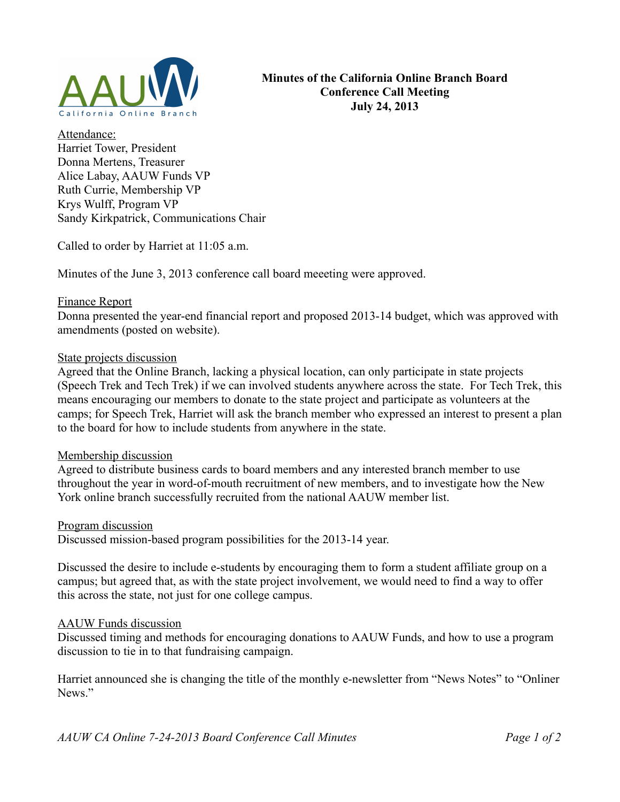

Attendance: Harriet Tower, President Donna Mertens, Treasurer Alice Labay, AAUW Funds VP Ruth Currie, Membership VP Krys Wulff, Program VP Sandy Kirkpatrick, Communications Chair

Called to order by Harriet at 11:05 a.m.

Minutes of the June 3, 2013 conference call board meeeting were approved.

## Finance Report

Donna presented the year-end financial report and proposed 2013-14 budget, which was approved with amendments (posted on website).

## State projects discussion

Agreed that the Online Branch, lacking a physical location, can only participate in state projects (Speech Trek and Tech Trek) if we can involved students anywhere across the state. For Tech Trek, this means encouraging our members to donate to the state project and participate as volunteers at the camps; for Speech Trek, Harriet will ask the branch member who expressed an interest to present a plan to the board for how to include students from anywhere in the state.

#### Membership discussion

Agreed to distribute business cards to board members and any interested branch member to use throughout the year in word-of-mouth recruitment of new members, and to investigate how the New York online branch successfully recruited from the national AAUW member list.

#### Program discussion

Discussed mission-based program possibilities for the 2013-14 year.

Discussed the desire to include e-students by encouraging them to form a student affiliate group on a campus; but agreed that, as with the state project involvement, we would need to find a way to offer this across the state, not just for one college campus.

# AAUW Funds discussion

Discussed timing and methods for encouraging donations to AAUW Funds, and how to use a program discussion to tie in to that fundraising campaign.

Harriet announced she is changing the title of the monthly e-newsletter from "News Notes" to "Onliner News"